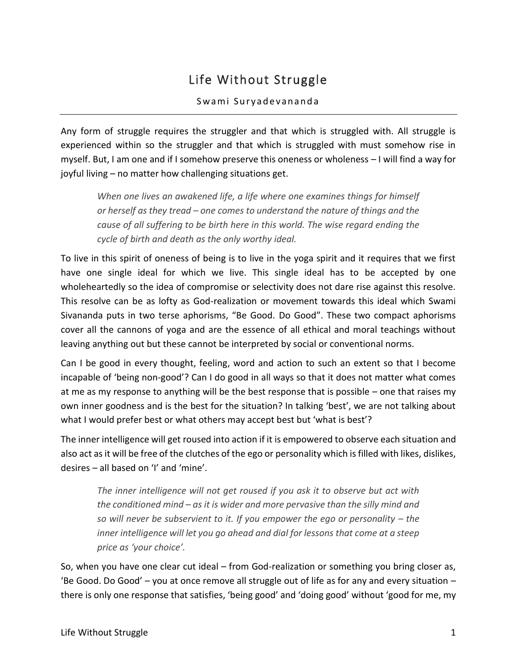# Life Without Struggle

#### Swami Suryadevananda

Any form of struggle requires the struggler and that which is struggled with. All struggle is experienced within so the struggler and that which is struggled with must somehow rise in myself. But, I am one and if I somehow preserve this oneness or wholeness – I will find a way for joyful living – no matter how challenging situations get.

*When one lives an awakened life, a life where one examines things for himself or herself as they tread – one comes to understand the nature of things and the cause of all suffering to be birth here in this world. The wise regard ending the cycle of birth and death as the only worthy ideal.* 

To live in this spirit of oneness of being is to live in the yoga spirit and it requires that we first have one single ideal for which we live. This single ideal has to be accepted by one wholeheartedly so the idea of compromise or selectivity does not dare rise against this resolve. This resolve can be as lofty as God-realization or movement towards this ideal which Swami Sivananda puts in two terse aphorisms, "Be Good. Do Good". These two compact aphorisms cover all the cannons of yoga and are the essence of all ethical and moral teachings without leaving anything out but these cannot be interpreted by social or conventional norms.

Can I be good in every thought, feeling, word and action to such an extent so that I become incapable of 'being non-good'? Can I do good in all ways so that it does not matter what comes at me as my response to anything will be the best response that is possible – one that raises my own inner goodness and is the best for the situation? In talking 'best', we are not talking about what I would prefer best or what others may accept best but 'what is best'?

The inner intelligence will get roused into action if it is empowered to observe each situation and also act as it will be free of the clutches of the ego or personality which is filled with likes, dislikes, desires – all based on 'I' and 'mine'.

*The inner intelligence will not get roused if you ask it to observe but act with the conditioned mind – as it is wider and more pervasive than the silly mind and so will never be subservient to it. If you empower the ego or personality – the inner intelligence will let you go ahead and dial for lessons that come at a steep price as 'your choice'.* 

So, when you have one clear cut ideal – from God-realization or something you bring closer as, 'Be Good. Do Good' – you at once remove all struggle out of life as for any and every situation – there is only one response that satisfies, 'being good' and 'doing good' without 'good for me, my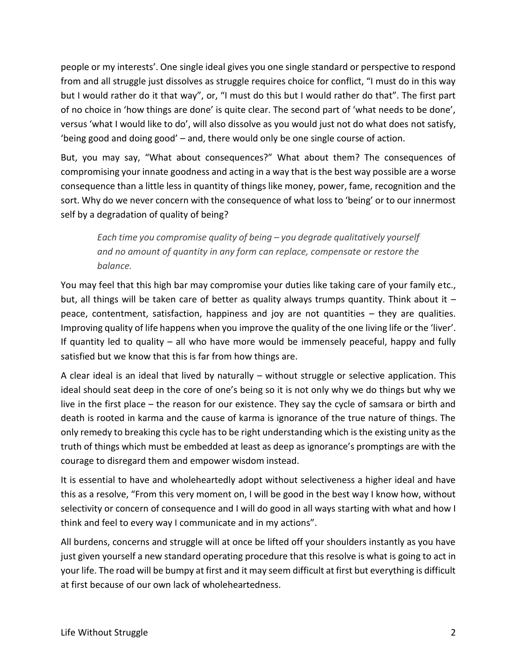people or my interests'. One single ideal gives you one single standard or perspective to respond from and all struggle just dissolves as struggle requires choice for conflict, "I must do in this way but I would rather do it that way", or, "I must do this but I would rather do that". The first part of no choice in 'how things are done' is quite clear. The second part of 'what needs to be done', versus 'what I would like to do', will also dissolve as you would just not do what does not satisfy, 'being good and doing good' – and, there would only be one single course of action.

But, you may say, "What about consequences?" What about them? The consequences of compromising your innate goodness and acting in a way that is the best way possible are a worse consequence than a little less in quantity of things like money, power, fame, recognition and the sort. Why do we never concern with the consequence of what loss to 'being' or to our innermost self by a degradation of quality of being?

*Each time you compromise quality of being – you degrade qualitatively yourself and no amount of quantity in any form can replace, compensate or restore the balance.* 

You may feel that this high bar may compromise your duties like taking care of your family etc., but, all things will be taken care of better as quality always trumps quantity. Think about it  $$ peace, contentment, satisfaction, happiness and joy are not quantities – they are qualities. Improving quality of life happens when you improve the quality of the one living life or the 'liver'. If quantity led to quality – all who have more would be immensely peaceful, happy and fully satisfied but we know that this is far from how things are.

A clear ideal is an ideal that lived by naturally – without struggle or selective application. This ideal should seat deep in the core of one's being so it is not only why we do things but why we live in the first place – the reason for our existence. They say the cycle of samsara or birth and death is rooted in karma and the cause of karma is ignorance of the true nature of things. The only remedy to breaking this cycle has to be right understanding which is the existing unity as the truth of things which must be embedded at least as deep as ignorance's promptings are with the courage to disregard them and empower wisdom instead.

It is essential to have and wholeheartedly adopt without selectiveness a higher ideal and have this as a resolve, "From this very moment on, I will be good in the best way I know how, without selectivity or concern of consequence and I will do good in all ways starting with what and how I think and feel to every way I communicate and in my actions".

All burdens, concerns and struggle will at once be lifted off your shoulders instantly as you have just given yourself a new standard operating procedure that this resolve is what is going to act in your life. The road will be bumpy at first and it may seem difficult at first but everything is difficult at first because of our own lack of wholeheartedness.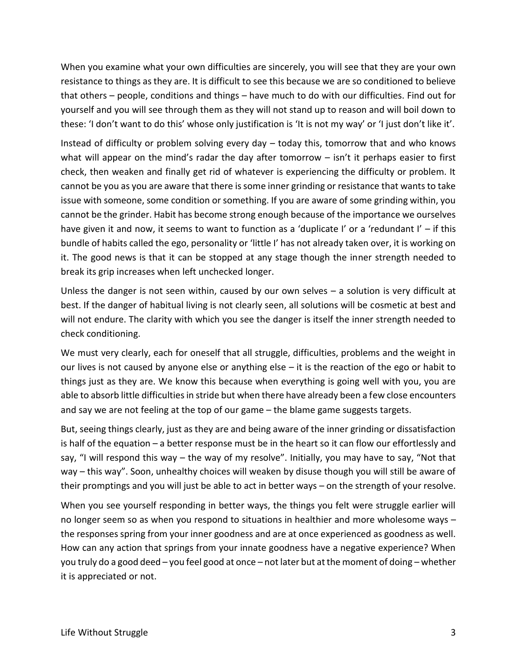When you examine what your own difficulties are sincerely, you will see that they are your own resistance to things as they are. It is difficult to see this because we are so conditioned to believe that others – people, conditions and things – have much to do with our difficulties. Find out for yourself and you will see through them as they will not stand up to reason and will boil down to these: 'I don't want to do this' whose only justification is 'It is not my way' or 'I just don't like it'.

Instead of difficulty or problem solving every day – today this, tomorrow that and who knows what will appear on the mind's radar the day after tomorrow – isn't it perhaps easier to first check, then weaken and finally get rid of whatever is experiencing the difficulty or problem. It cannot be you as you are aware that there is some inner grinding or resistance that wants to take issue with someone, some condition or something. If you are aware of some grinding within, you cannot be the grinder. Habit has become strong enough because of the importance we ourselves have given it and now, it seems to want to function as a 'duplicate I' or a 'redundant I' – if this bundle of habits called the ego, personality or 'little I' has not already taken over, it is working on it. The good news is that it can be stopped at any stage though the inner strength needed to break its grip increases when left unchecked longer.

Unless the danger is not seen within, caused by our own selves – a solution is very difficult at best. If the danger of habitual living is not clearly seen, all solutions will be cosmetic at best and will not endure. The clarity with which you see the danger is itself the inner strength needed to check conditioning.

We must very clearly, each for oneself that all struggle, difficulties, problems and the weight in our lives is not caused by anyone else or anything else  $-$  it is the reaction of the ego or habit to things just as they are. We know this because when everything is going well with you, you are able to absorb little difficulties in stride but when there have already been a few close encounters and say we are not feeling at the top of our game – the blame game suggests targets.

But, seeing things clearly, just as they are and being aware of the inner grinding or dissatisfaction is half of the equation – a better response must be in the heart so it can flow our effortlessly and say, "I will respond this way – the way of my resolve". Initially, you may have to say, "Not that way – this way". Soon, unhealthy choices will weaken by disuse though you will still be aware of their promptings and you will just be able to act in better ways – on the strength of your resolve.

When you see yourself responding in better ways, the things you felt were struggle earlier will no longer seem so as when you respond to situations in healthier and more wholesome ways – the responses spring from your inner goodness and are at once experienced as goodness as well. How can any action that springs from your innate goodness have a negative experience? When you truly do a good deed – you feel good at once – not later but at the moment of doing – whether it is appreciated or not.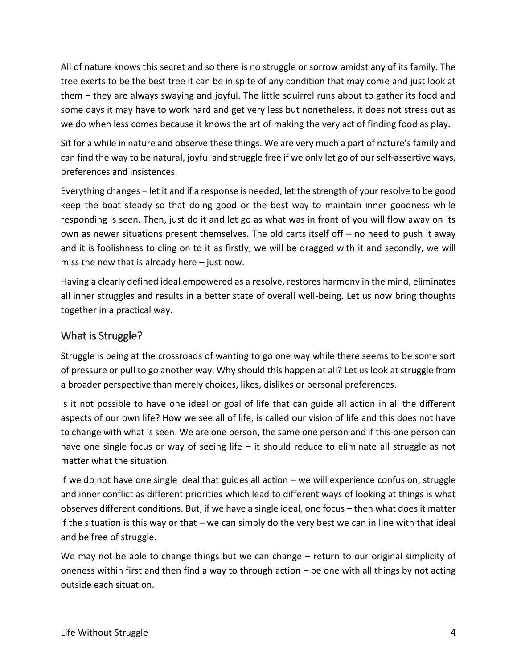All of nature knows this secret and so there is no struggle or sorrow amidst any of its family. The tree exerts to be the best tree it can be in spite of any condition that may come and just look at them – they are always swaying and joyful. The little squirrel runs about to gather its food and some days it may have to work hard and get very less but nonetheless, it does not stress out as we do when less comes because it knows the art of making the very act of finding food as play.

Sit for a while in nature and observe these things. We are very much a part of nature's family and can find the way to be natural, joyful and struggle free if we only let go of our self-assertive ways, preferences and insistences.

Everything changes – let it and if a response is needed, let the strength of your resolve to be good keep the boat steady so that doing good or the best way to maintain inner goodness while responding is seen. Then, just do it and let go as what was in front of you will flow away on its own as newer situations present themselves. The old carts itself off – no need to push it away and it is foolishness to cling on to it as firstly, we will be dragged with it and secondly, we will miss the new that is already here – just now.

Having a clearly defined ideal empowered as a resolve, restores harmony in the mind, eliminates all inner struggles and results in a better state of overall well-being. Let us now bring thoughts together in a practical way.

### What is Struggle?

Struggle is being at the crossroads of wanting to go one way while there seems to be some sort of pressure or pull to go another way. Why should this happen at all? Let us look at struggle from a broader perspective than merely choices, likes, dislikes or personal preferences.

Is it not possible to have one ideal or goal of life that can guide all action in all the different aspects of our own life? How we see all of life, is called our vision of life and this does not have to change with what is seen. We are one person, the same one person and if this one person can have one single focus or way of seeing life – it should reduce to eliminate all struggle as not matter what the situation.

If we do not have one single ideal that guides all action – we will experience confusion, struggle and inner conflict as different priorities which lead to different ways of looking at things is what observes different conditions. But, if we have a single ideal, one focus – then what does it matter if the situation is this way or that – we can simply do the very best we can in line with that ideal and be free of struggle.

We may not be able to change things but we can change – return to our original simplicity of oneness within first and then find a way to through action – be one with all things by not acting outside each situation.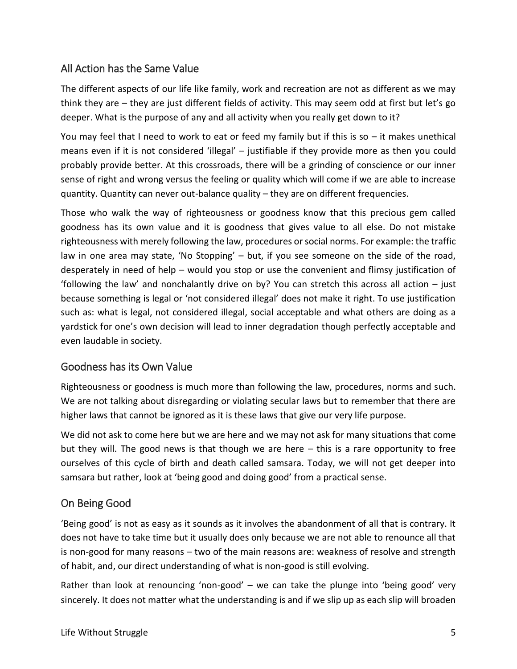# All Action has the Same Value

The different aspects of our life like family, work and recreation are not as different as we may think they are – they are just different fields of activity. This may seem odd at first but let's go deeper. What is the purpose of any and all activity when you really get down to it?

You may feel that I need to work to eat or feed my family but if this is so – it makes unethical means even if it is not considered 'illegal' – justifiable if they provide more as then you could probably provide better. At this crossroads, there will be a grinding of conscience or our inner sense of right and wrong versus the feeling or quality which will come if we are able to increase quantity. Quantity can never out-balance quality – they are on different frequencies.

Those who walk the way of righteousness or goodness know that this precious gem called goodness has its own value and it is goodness that gives value to all else. Do not mistake righteousness with merely following the law, procedures or social norms. For example: the traffic law in one area may state, 'No Stopping' – but, if you see someone on the side of the road, desperately in need of help – would you stop or use the convenient and flimsy justification of 'following the law' and nonchalantly drive on by? You can stretch this across all action – just because something is legal or 'not considered illegal' does not make it right. To use justification such as: what is legal, not considered illegal, social acceptable and what others are doing as a yardstick for one's own decision will lead to inner degradation though perfectly acceptable and even laudable in society.

### Goodness has its Own Value

Righteousness or goodness is much more than following the law, procedures, norms and such. We are not talking about disregarding or violating secular laws but to remember that there are higher laws that cannot be ignored as it is these laws that give our very life purpose.

We did not ask to come here but we are here and we may not ask for many situations that come but they will. The good news is that though we are here  $-$  this is a rare opportunity to free ourselves of this cycle of birth and death called samsara. Today, we will not get deeper into samsara but rather, look at 'being good and doing good' from a practical sense.

### On Being Good

'Being good' is not as easy as it sounds as it involves the abandonment of all that is contrary. It does not have to take time but it usually does only because we are not able to renounce all that is non-good for many reasons – two of the main reasons are: weakness of resolve and strength of habit, and, our direct understanding of what is non-good is still evolving.

Rather than look at renouncing 'non-good' – we can take the plunge into 'being good' very sincerely. It does not matter what the understanding is and if we slip up as each slip will broaden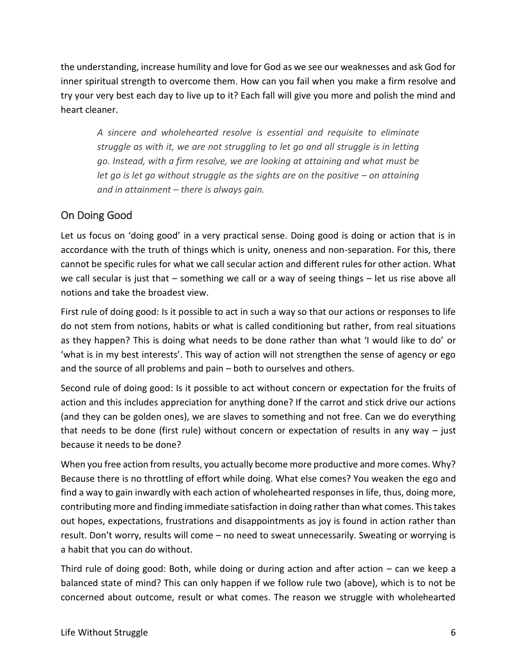the understanding, increase humility and love for God as we see our weaknesses and ask God for inner spiritual strength to overcome them. How can you fail when you make a firm resolve and try your very best each day to live up to it? Each fall will give you more and polish the mind and heart cleaner.

*A sincere and wholehearted resolve is essential and requisite to eliminate struggle as with it, we are not struggling to let go and all struggle is in letting go. Instead, with a firm resolve, we are looking at attaining and what must be let go is let go without struggle as the sights are on the positive – on attaining and in attainment – there is always gain.* 

## On Doing Good

Let us focus on 'doing good' in a very practical sense. Doing good is doing or action that is in accordance with the truth of things which is unity, oneness and non-separation. For this, there cannot be specific rules for what we call secular action and different rules for other action. What we call secular is just that – something we call or a way of seeing things – let us rise above all notions and take the broadest view.

First rule of doing good: Is it possible to act in such a way so that our actions or responses to life do not stem from notions, habits or what is called conditioning but rather, from real situations as they happen? This is doing what needs to be done rather than what 'I would like to do' or 'what is in my best interests'. This way of action will not strengthen the sense of agency or ego and the source of all problems and pain – both to ourselves and others.

Second rule of doing good: Is it possible to act without concern or expectation for the fruits of action and this includes appreciation for anything done? If the carrot and stick drive our actions (and they can be golden ones), we are slaves to something and not free. Can we do everything that needs to be done (first rule) without concern or expectation of results in any way – just because it needs to be done?

When you free action from results, you actually become more productive and more comes. Why? Because there is no throttling of effort while doing. What else comes? You weaken the ego and find a way to gain inwardly with each action of wholehearted responses in life, thus, doing more, contributing more and finding immediate satisfaction in doing rather than what comes. This takes out hopes, expectations, frustrations and disappointments as joy is found in action rather than result. Don't worry, results will come – no need to sweat unnecessarily. Sweating or worrying is a habit that you can do without.

Third rule of doing good: Both, while doing or during action and after action – can we keep a balanced state of mind? This can only happen if we follow rule two (above), which is to not be concerned about outcome, result or what comes. The reason we struggle with wholehearted